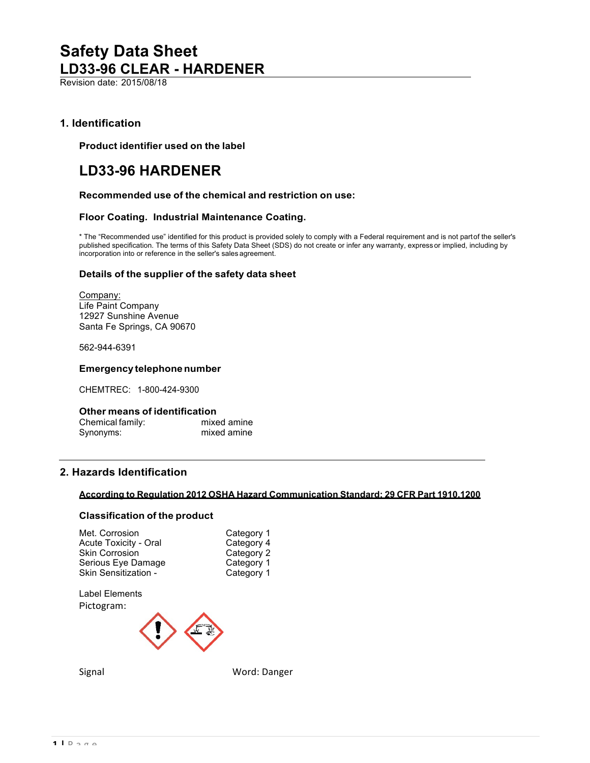Revision date: 2015/08/18

## **1. Identification**

**Product identifier used on the label**

## **LD33-96 HARDENER**

#### **Recommended use of the chemical and restriction on use:**

#### **Floor Coating. Industrial Maintenance Coating.**

\* The "Recommended use" identified for this product is provided solely to comply with a Federal requirement and is not partof the seller's published specification. The terms of this Safety Data Sheet (SDS) do not create or infer any warranty, express or implied, including by incorporation into or reference in the seller's sales agreement.

#### **Details of the supplier of the safety data sheet**

Company: Life Paint Company 12927 Sunshine Avenue Santa Fe Springs, CA 90670

562-944-6391

#### **Emergency telephonenumber**

CHEMTREC: 1-800-424-9300

#### **Other means of identification**

| Chemical family: | mixed amine |
|------------------|-------------|
| Synonyms:        | mixed amine |

## **2. Hazards Identification**

## **According to Regulation 2012 OSHA Hazard Communication Standard; 29 CFR Part 1910.1200**

#### **Classification of the product**

| Met. Corrosion               | Category 1 |
|------------------------------|------------|
| <b>Acute Toxicity - Oral</b> | Category 4 |
| <b>Skin Corrosion</b>        | Category 2 |
| Serious Eye Damage           | Category 1 |
| Skin Sensitization -         | Category 1 |
|                              |            |

Label Elements Pictogram:



Signal Word: Danger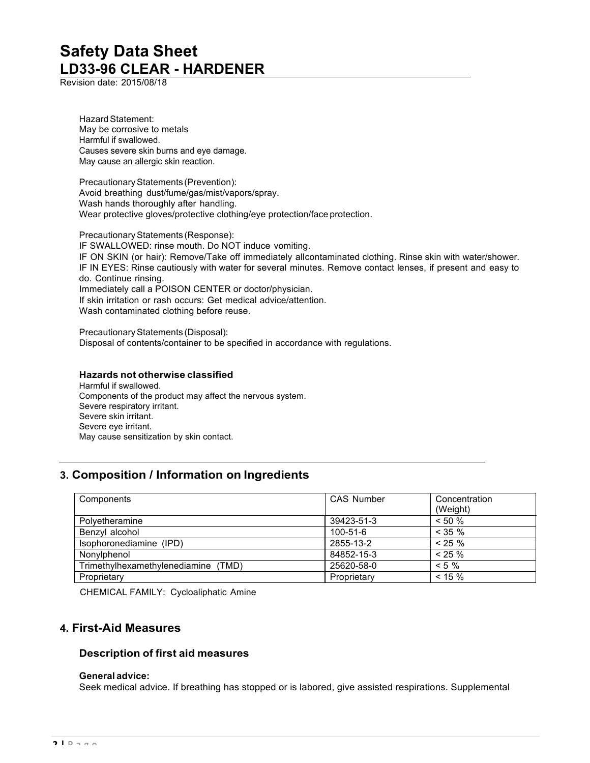Revision date: 2015/08/18

Hazard Statement: May be corrosive to metals Harmful if swallowed. Causes severe skin burns and eye damage. May cause an allergic skin reaction.

Precautionary Statements (Prevention): Avoid breathing dust/fume/gas/mist/vapors/spray. Wash hands thoroughly after handling. Wear protective gloves/protective clothing/eye protection/face protection.

Precautionary Statements (Response): IF SWALLOWED: rinse mouth. Do NOT induce vomiting. IF ON SKIN (or hair): Remove/Take off immediately allcontaminated clothing. Rinse skin with water/shower. IF IN EYES: Rinse cautiously with water for several minutes. Remove contact lenses, if present and easy to do. Continue rinsing. Immediately call a POISON CENTER or doctor/physician. If skin irritation or rash occurs: Get medical advice/attention. Wash contaminated clothing before reuse.

Precautionary Statements (Disposal): Disposal of contents/container to be specified in accordance with regulations.

### **Hazards not otherwise classified**

Harmful if swallowed. Components of the product may affect the nervous system. Severe respiratory irritant. Severe skin irritant. Severe eye irritant. May cause sensitization by skin contact.

## **3. Composition / Information on Ingredients**

| Components                          | <b>CAS Number</b> | Concentration<br>(Weight) |
|-------------------------------------|-------------------|---------------------------|
| Polyetheramine                      | 39423-51-3        | $< 50 \%$                 |
| Benzyl alcohol                      | 100-51-6          | $< 35 \%$                 |
| Isophoronediamine (IPD)             | 2855-13-2         | $< 25 \%$                 |
| Nonylphenol                         | 84852-15-3        | $< 25 \%$                 |
| Trimethylhexamethylenediamine (TMD) | 25620-58-0        | $< 5 \%$                  |
| Proprietary                         | Proprietary       | $< 15 \%$                 |

CHEMICAL FAMILY: Cycloaliphatic Amine

## **4. First-Aid Measures**

### **Description of first aid measures**

#### **General advice:**

Seek medical advice. If breathing has stopped or is labored, give assisted respirations. Supplemental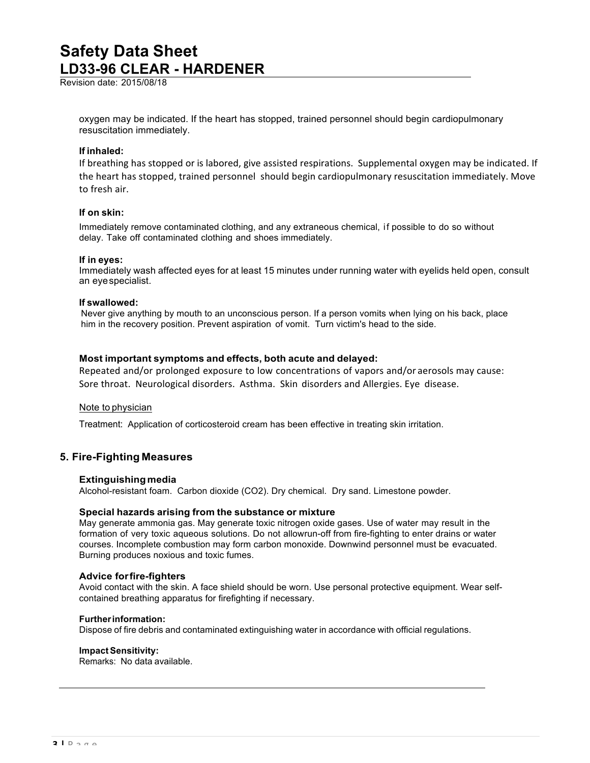Revision date: 2015/08/18

oxygen may be indicated. If the heart has stopped, trained personnel should begin cardiopulmonary resuscitation immediately.

#### **If inhaled:**

If breathing has stopped or is labored, give assisted respirations. Supplemental oxygen may be indicated. If the heart has stopped, trained personnel should begin cardiopulmonary resuscitation immediately. Move to fresh air.

### **If on skin:**

Immediately remove contaminated clothing, and any extraneous chemical, if possible to do so without delay. Take off contaminated clothing and shoes immediately.

#### **If in eyes:**

Immediately wash affected eyes for at least 15 minutes under running water with eyelids held open, consult an eyespecialist.

#### **If swallowed:**

Never give anything by mouth to an unconscious person. If a person vomits when lying on his back, place him in the recovery position. Prevent aspiration of vomit. Turn victim's head to the side.

### **Most important symptoms and effects, both acute and delayed:**

Repeated and/or prolonged exposure to low concentrations of vapors and/or aerosols may cause: Sore throat. Neurological disorders. Asthma. Skin disorders and Allergies. Eye disease.

#### Note to physician

Treatment: Application of corticosteroid cream has been effective in treating skin irritation.

## **5. Fire-Fighting Measures**

#### **Extinguishingmedia**

Alcohol-resistant foam. Carbon dioxide (CO2). Dry chemical. Dry sand. Limestone powder.

#### **Special hazards arising from the substance or mixture**

May generate ammonia gas. May generate toxic nitrogen oxide gases. Use of water may result in the formation of very toxic aqueous solutions. Do not allowrun-off from fire-fighting to enter drains or water courses. Incomplete combustion may form carbon monoxide. Downwind personnel must be evacuated. Burning produces noxious and toxic fumes.

#### **Advice forfire-fighters**

Avoid contact with the skin. A face shield should be worn. Use personal protective equipment. Wear selfcontained breathing apparatus for firefighting if necessary.

#### **Furtherinformation:**

Dispose of fire debris and contaminated extinguishing water in accordance with official regulations.

#### **ImpactSensitivity:**

Remarks: No data available.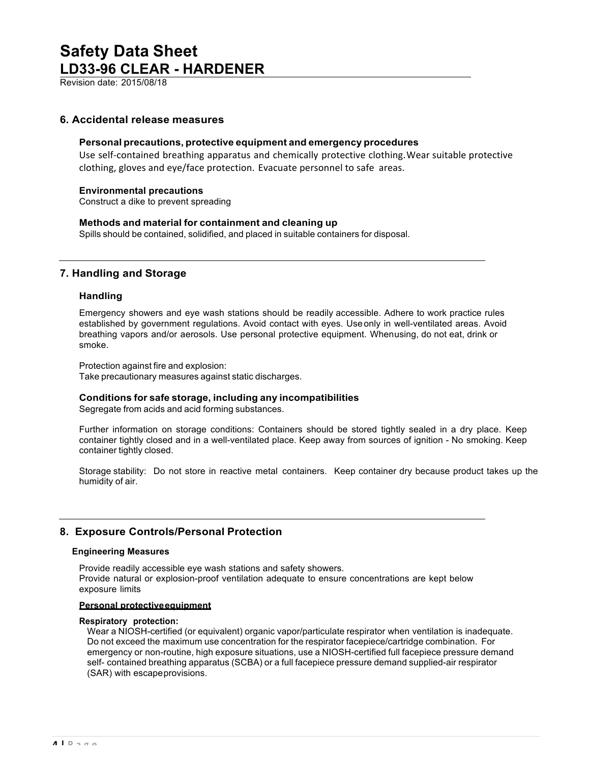Revision date: 2015/08/18

### **6. Accidental release measures**

#### **Personal precautions, protective equipment and emergency procedures**

Use self-contained breathing apparatus and chemically protective clothing. Wear suitable protective clothing, gloves and eye/face protection. Evacuate personnel to safe areas.

#### **Environmental precautions**

Construct a dike to prevent spreading

#### **Methods and material for containment and cleaning up**

Spills should be contained, solidified, and placed in suitable containers for disposal.

## **7. Handling and Storage**

#### **Handling**

Emergency showers and eye wash stations should be readily accessible. Adhere to work practice rules established by government regulations. Avoid contact with eyes. Useonly in well-ventilated areas. Avoid breathing vapors and/or aerosols. Use personal protective equipment. Whenusing, do not eat, drink or smoke.

Protection against fire and explosion: Take precautionary measures against static discharges.

#### **Conditions for safe storage, including any incompatibilities**

Segregate from acids and acid forming substances.

Further information on storage conditions: Containers should be stored tightly sealed in a dry place. Keep container tightly closed and in a well-ventilated place. Keep away from sources of ignition - No smoking. Keep container tightly closed.

Storage stability: Do not store in reactive metal containers. Keep container dry because product takes up the humidity of air.

## **8. Exposure Controls/Personal Protection**

#### **Engineering Measures**

Provide readily accessible eye wash stations and safety showers. Provide natural or explosion-proof ventilation adequate to ensure concentrations are kept below exposure limits

#### **Personal protectiveequipment**

#### **Respiratory protection:**

Wear a NIOSH-certified (or equivalent) organic vapor/particulate respirator when ventilation is inadequate. Do not exceed the maximum use concentration for the respirator facepiece/cartridge combination. For emergency or non-routine, high exposure situations, use a NIOSH-certified full facepiece pressure demand self- contained breathing apparatus (SCBA) or a full facepiece pressure demand supplied-air respirator (SAR) with escapeprovisions.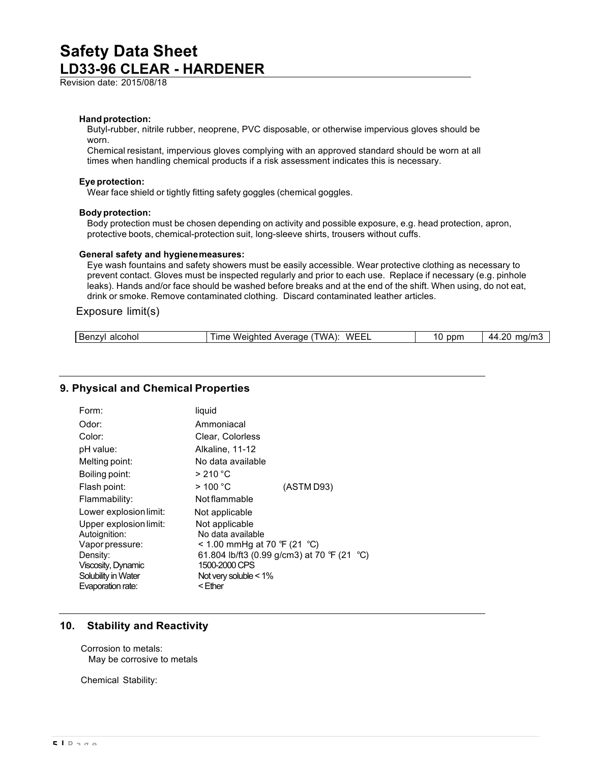Revision date: 2015/08/18

#### **Hand protection:**

Butyl-rubber, nitrile rubber, neoprene, PVC disposable, or otherwise impervious gloves should be worn.

Chemical resistant, impervious gloves complying with an approved standard should be worn at all times when handling chemical products if a risk assessment indicates this is necessary.

#### **Eye protection:**

Wear face shield or tightly fitting safety goggles (chemical goggles.

#### **Body protection:**

Body protection must be chosen depending on activity and possible exposure, e.g. head protection, apron, protective boots, chemical-protection suit, long-sleeve shirts, trousers without cuffs.

#### **General safety and hygienemeasures:**

Eye wash fountains and safety showers must be easily accessible. Wear protective clothing as necessary to prevent contact. Gloves must be inspected regularly and prior to each use. Replace if necessary (e.g. pinhole leaks). Hands and/or face should be washed before breaks and at the end of the shift. When using, do not eat, drink or smoke. Remove contaminated clothing. Discard contaminated leather articles.

#### Exposure limit(s)

| -<br>alcohol<br>Benz | WFF<br>'WA<br>Weiał<br>ıme<br>erage<br>AVAL<br>ιτρι | ppn | ററ<br>.<br>ma,<br>$\Delta \rho$<br>. |
|----------------------|-----------------------------------------------------|-----|--------------------------------------|
|                      |                                                     |     |                                      |

### **9. Physical and Chemical Properties**

| Form:                  | liquid                                  |            |
|------------------------|-----------------------------------------|------------|
| Odor:                  | Ammoniacal                              |            |
| Color:                 | Clear, Colorless                        |            |
| pH value:              | Alkaline, 11-12                         |            |
| Melting point:         | No data available                       |            |
| Boiling point:         | $>210\degree$ C                         |            |
| Flash point:           | >100 °C                                 | (ASTM D93) |
| Flammability:          | Not flammable                           |            |
| Lower explosion limit: | Not applicable                          |            |
| Upper explosion limit: | Not applicable                          |            |
| Autoignition:          | No data available                       |            |
| Vapor pressure:        | < 1.00 mmHg at 70 °F (21 °C)            |            |
| Density:               | 61.804 lb/ft3 (0.99 g/cm3) at 70 °F (21 | °C)        |
| Viscosity, Dynamic     | 1500-2000 CPS                           |            |
| Solubility in Water    | Not very soluble $< 1\%$                |            |
| Evaporation rate:      | <ether< td=""><td></td></ether<>        |            |

### **10. Stability and Reactivity**

Corrosion to metals: May be corrosive to metals

Chemical Stability: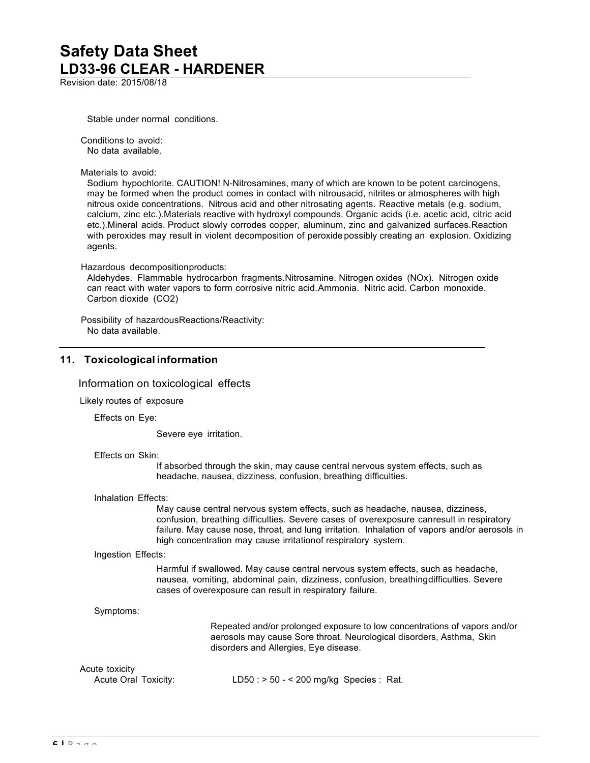Revision date: 2015/08/18

Stable under normal conditions.

Conditions to avoid: No data available.

Materials to avoid:

Sodium hypochlorite. CAUTION! N-Nitrosamines, many of which are known to be potent carcinogens, may be formed when the product comes in contact with nitrousacid, nitrites or atmospheres with high nitrous oxide concentrations. Nitrous acid and other nitrosating agents. Reactive metals (e.g. sodium, calcium, zinc etc.).Materials reactive with hydroxyl compounds. Organic acids (i.e. acetic acid, citric acid etc.).Mineral acids. Product slowly corrodes copper, aluminum, zinc and galvanized surfaces.Reaction with peroxides may result in violent decomposition of peroxide possibly creating an explosion. Oxidizing agents.

Hazardous decompositionproducts:

Aldehydes. Flammable hydrocarbon fragments.Nitrosamine. Nitrogen oxides (NOx). Nitrogen oxide can react with water vapors to form corrosive nitric acid. Ammonia. Nitric acid. Carbon monoxide. Carbon dioxide (CO2)

Possibility of hazardousReactions/Reactivity: No data available.

## **11. Toxicological information**

#### Information on toxicological effects

Likely routes of exposure

Effects on Eye:

Severe eye irritation.

Effects on Skin:

If absorbed through the skin, may cause central nervous system effects, such as headache, nausea, dizziness, confusion, breathing difficulties.

#### Inhalation Effects:

May cause central nervous system effects, such as headache, nausea, dizziness, confusion, breathing difficulties. Severe cases of overexposure canresult in respiratory failure. May cause nose, throat, and lung irritation. Inhalation of vapors and/or aerosols in high concentration may cause irritationof respiratory system.

#### Ingestion Effects:

Harmful if swallowed. May cause central nervous system effects, such as headache, nausea, vomiting, abdominal pain, dizziness, confusion, breathingdifficulties. Severe cases of overexposure can result in respiratory failure.

```
Symptoms:
```
Repeated and/or prolonged exposure to low concentrations of vapors and/or aerosols may cause Sore throat. Neurological disorders, Asthma, Skin disorders and Allergies, Eye disease.

### Acute toxicity

Acute Oral Toxicity: LD50 : > 50 - < 200 mg/kg Species : Rat.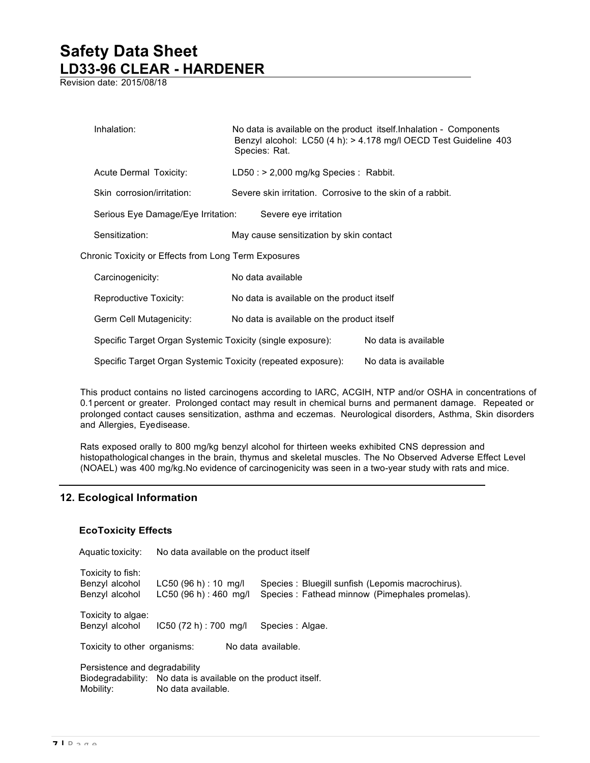Revision date: 2015/08/18

| Inhalation:                                                  | Species: Rat.                                              | No data is available on the product itself. Inhalation - Components<br>Benzyl alcohol: LC50 (4 h): > 4.178 mg/l OECD Test Guideline 403 |
|--------------------------------------------------------------|------------------------------------------------------------|-----------------------------------------------------------------------------------------------------------------------------------------|
| Acute Dermal Toxicity:                                       | $LD50:$ > 2,000 mg/kg Species : Rabbit.                    |                                                                                                                                         |
| Skin corrosion/irritation:                                   | Severe skin irritation. Corrosive to the skin of a rabbit. |                                                                                                                                         |
| Serious Eye Damage/Eye Irritation:                           | Severe eye irritation                                      |                                                                                                                                         |
| Sensitization:                                               | May cause sensitization by skin contact                    |                                                                                                                                         |
| Chronic Toxicity or Effects from Long Term Exposures         |                                                            |                                                                                                                                         |
| Carcinogenicity:                                             | No data available                                          |                                                                                                                                         |
| Reproductive Toxicity:                                       | No data is available on the product itself                 |                                                                                                                                         |
| Germ Cell Mutagenicity:                                      | No data is available on the product itself                 |                                                                                                                                         |
| Specific Target Organ Systemic Toxicity (single exposure):   |                                                            | No data is available                                                                                                                    |
| Specific Target Organ Systemic Toxicity (repeated exposure): |                                                            | No data is available                                                                                                                    |

This product contains no listed carcinogens according to IARC, ACGIH, NTP and/or OSHA in concentrations of 0.1percent or greater. Prolonged contact may result in chemical burns and permanent damage. Repeated or prolonged contact causes sensitization, asthma and eczemas. Neurological disorders, Asthma, Skin disorders and Allergies, Eyedisease.

Rats exposed orally to 800 mg/kg benzyl alcohol for thirteen weeks exhibited CNS depression and histopathological changes in the brain, thymus and skeletal muscles. The No Observed Adverse Effect Level (NOAEL) was 400 mg/kg.No evidence of carcinogenicity was seen in a two-year study with rats and mice.

## **12. Ecological Information**

### **EcoToxicity Effects**

Aquatic toxicity: No data available on the product itself Toxicity to fish: Benzyl alcohol LC50 (96 h) : 10 mg/l Species : Bluegill sunfish (Lepomis macrochirus). Benzyl alcohol LC50 (96 h) : 460 mg/l Species : Fathead minnow (Pimephales promelas). Toxicity to algae: Benzyl alcohol IC50 (72 h) : 700 mg/l Species : Algae. Toxicity to other organisms: No data available. Persistence and degradability Biodegradability: No data is available on the product itself. Mobility: No data available.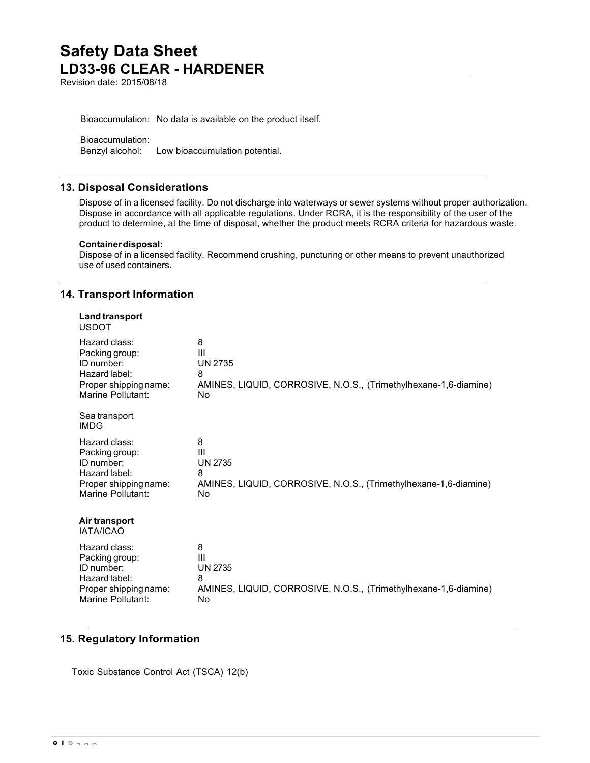Revision date: 2015/08/18

Bioaccumulation: No data is available on the product itself.

Bioaccumulation: Benzyl alcohol: Low bioaccumulation potential.

## **13. Disposal Considerations**

Dispose of in a licensed facility. Do not discharge into waterways or sewer systems without proper authorization. Dispose in accordance with all applicable regulations. Under RCRA, it is the responsibility of the user of the product to determine, at the time of disposal, whether the product meets RCRA criteria for hazardous waste.

#### **Containerdisposal:**

Dispose of in a licensed facility. Recommend crushing, puncturing or other means to prevent unauthorized use of used containers.

## **14. Transport Information**

| Land transport<br><b>USDOT</b>    |                                                                  |
|-----------------------------------|------------------------------------------------------------------|
| Hazard class:                     | 8                                                                |
| Packing group:                    | Ш                                                                |
| ID number:                        | <b>UN 2735</b>                                                   |
| Hazard label:                     | 8                                                                |
| Proper shipping name:             | AMINES, LIQUID, CORROSIVE, N.O.S., (Trimethylhexane-1,6-diamine) |
| Marine Pollutant:                 | No                                                               |
| Sea transport<br><b>IMDG</b>      |                                                                  |
| Hazard class:                     | 8                                                                |
| Packing group:                    | Ш                                                                |
| ID number:                        | <b>UN 2735</b>                                                   |
| Hazard label:                     | 8                                                                |
| Proper shipping name:             | AMINES, LIQUID, CORROSIVE, N.O.S., (Trimethylhexane-1,6-diamine) |
| Marine Pollutant:                 | No                                                               |
| Air transport<br><b>IATA/ICAO</b> |                                                                  |
| Hazard class:                     | 8                                                                |
| Packing group:                    | Ш                                                                |
| ID number:                        | <b>UN 2735</b>                                                   |
| Hazard label:                     | 8                                                                |
| Proper shipping name:             | AMINES, LIQUID, CORROSIVE, N.O.S., (Trimethylhexane-1,6-diamine) |
| Marine Pollutant:                 | No                                                               |

## **15. Regulatory Information**

Toxic Substance Control Act (TSCA) 12(b)